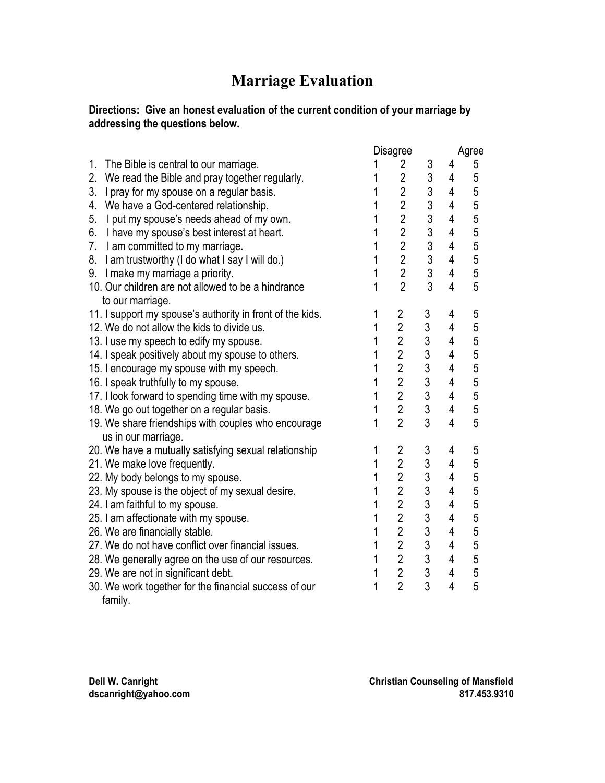## **Marriage Evaluation**

#### **Directions: Give an honest evaluation of the current condition of your marriage by addressing the questions below.**

|                                                           |   | Disagree                |                                                   |                |                                            |
|-----------------------------------------------------------|---|-------------------------|---------------------------------------------------|----------------|--------------------------------------------|
| 1.<br>The Bible is central to our marriage.               |   | $\overline{2}$          | 3                                                 | 4              | 5                                          |
| 2.<br>We read the Bible and pray together regularly.      | 1 | $\overline{2}$          | $\mathfrak{S}$                                    | $\overline{4}$ | $\overline{5}$                             |
| 3.<br>I pray for my spouse on a regular basis.            | 1 | $\overline{2}$          | $\overline{3}$                                    | $\overline{4}$ | 5                                          |
| 4. We have a God-centered relationship.                   |   | $\overline{2}$          | $\mathbf{3}$                                      | $\overline{4}$ | 5                                          |
| 5.<br>I put my spouse's needs ahead of my own.            | 1 | $\overline{2}$          |                                                   | $\overline{4}$ | 5                                          |
| 6.<br>I have my spouse's best interest at heart.          | 1 | $\overline{2}$          |                                                   | $\overline{4}$ | $\frac{5}{5}$                              |
| 7. I am committed to my marriage.                         | 1 | $\overline{2}$          | $\begin{array}{c}\n3 \\ 3 \\ 3 \\ 3\n\end{array}$ | 4              |                                            |
| 8. I am trustworthy (I do what I say I will do.)          | 1 | $\frac{2}{2}$           |                                                   | $\overline{4}$ | 5                                          |
| 9. I make my marriage a priority.                         | 1 |                         |                                                   | $\overline{4}$ | $\frac{5}{5}$                              |
| 10. Our children are not allowed to be a hindrance        | 1 | $\overline{2}$          |                                                   | $\overline{4}$ |                                            |
| to our marriage.                                          |   |                         |                                                   |                |                                            |
| 11. I support my spouse's authority in front of the kids. | 1 | $\overline{\mathbf{c}}$ |                                                   | 4              | 5                                          |
| 12. We do not allow the kids to divide us.                | 1 | $\overline{2}$          |                                                   | 4              | $\frac{5}{5}$                              |
| 13. I use my speech to edify my spouse.                   | 1 | $\overline{2}$          | 3333333333                                        | 4              |                                            |
| 14. I speak positively about my spouse to others.         | 1 | $\overline{2}$          |                                                   | 4              | 5                                          |
| 15. I encourage my spouse with my speech.                 | 1 | $\overline{2}$          |                                                   | $\overline{4}$ | 5                                          |
| 16. I speak truthfully to my spouse.                      | 1 | $\overline{2}$          |                                                   | $\overline{4}$ | $\frac{5}{5}$                              |
| 17. I look forward to spending time with my spouse.       | 1 | $\overline{2}$          |                                                   | $\overline{4}$ |                                            |
| 18. We go out together on a regular basis.                | 1 | $\overline{2}$          |                                                   | $\overline{4}$ | 5                                          |
| 19. We share friendships with couples who encourage       | 1 | $\overline{2}$          | 3                                                 | $\overline{4}$ | 5                                          |
| us in our marriage.                                       |   |                         |                                                   |                |                                            |
| 20. We have a mutually satisfying sexual relationship     | 1 | $\overline{2}$          |                                                   | 4              | 5                                          |
| 21. We make love frequently.                              | 1 | $\overline{2}$          |                                                   | 4              | $\overline{5}$                             |
| 22. My body belongs to my spouse.                         | 1 | $\overline{2}$          |                                                   | $\overline{4}$ | $\begin{array}{c} 5 \\ 5 \\ 5 \end{array}$ |
| 23. My spouse is the object of my sexual desire.          | 1 | $\overline{2}$          |                                                   | $\overline{4}$ |                                            |
| 24. I am faithful to my spouse.                           | 1 | $\overline{2}$          |                                                   | $\overline{4}$ |                                            |
| 25. I am affectionate with my spouse.                     | 1 | $\overline{2}$          |                                                   | $\overline{4}$ | 5                                          |
| 26. We are financially stable.                            | 1 | $\overline{2}$          |                                                   | $\overline{4}$ | $\begin{array}{c} 5 \\ 5 \\ 5 \end{array}$ |
| 27. We do not have conflict over financial issues.        | 1 | $\overline{2}$          |                                                   | $\overline{4}$ |                                            |
| 28. We generally agree on the use of our resources.       | 1 | $\overline{2}$          |                                                   | $\overline{4}$ |                                            |
| 29. We are not in significant debt.                       | 1 | $\overline{2}$          |                                                   | $\overline{4}$ | $\overline{5}$                             |
| 30. We work together for the financial success of our     | 1 | $\overline{2}$          |                                                   | $\overline{4}$ | 5                                          |

family.

**dscanright@yahoo.com 817.453.9310**

Dell W. Canright Counseling of Mansfield<br>dscanright@yahoo.com **Christian Counseling of Mansfield**<br>817.453.9310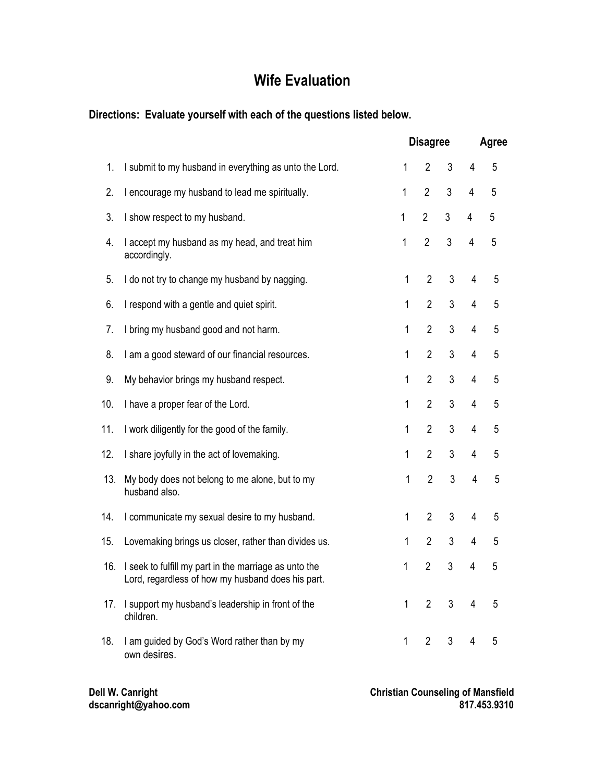# **Wife Evaluation**

### **Directions: Evaluate yourself with each of the questions listed below.**

|     |                                                                                                            | <b>Disagree</b> |                |   | Agree          |                |  |
|-----|------------------------------------------------------------------------------------------------------------|-----------------|----------------|---|----------------|----------------|--|
| 1.  | I submit to my husband in everything as unto the Lord.                                                     | 1               | $\overline{2}$ | 3 | 4              | 5              |  |
| 2.  | I encourage my husband to lead me spiritually.                                                             | 1               | $\overline{2}$ | 3 | 4              | 5              |  |
| 3.  | I show respect to my husband.                                                                              | $\mathbf{1}$    | $\overline{2}$ | 3 | 4              | 5              |  |
| 4.  | I accept my husband as my head, and treat him<br>accordingly.                                              | 1               | $\overline{2}$ | 3 | 4              | 5              |  |
| 5.  | I do not try to change my husband by nagging.                                                              | 1               | $\overline{2}$ | 3 | 4              | 5              |  |
| 6.  | I respond with a gentle and quiet spirit.                                                                  | 1               | $\overline{2}$ | 3 | $\overline{4}$ | 5              |  |
| 7.  | I bring my husband good and not harm.                                                                      | 1               | $\overline{2}$ | 3 | $\overline{4}$ | 5              |  |
| 8.  | I am a good steward of our financial resources.                                                            | 1               | $\overline{2}$ | 3 | $\overline{4}$ | 5              |  |
| 9.  | My behavior brings my husband respect.                                                                     | 1               | $\overline{2}$ | 3 | $\overline{4}$ | 5              |  |
| 10. | I have a proper fear of the Lord.                                                                          | 1               | $\overline{2}$ | 3 | $\overline{4}$ | 5              |  |
| 11. | I work diligently for the good of the family.                                                              | 1               | $\overline{2}$ | 3 | $\overline{4}$ | 5              |  |
| 12. | I share joyfully in the act of lovemaking.                                                                 | 1               | $\overline{2}$ | 3 | $\overline{4}$ | 5              |  |
| 13. | My body does not belong to me alone, but to my<br>husband also.                                            | 1               | $\overline{2}$ | 3 | $\overline{4}$ | $\overline{5}$ |  |
| 14. | I communicate my sexual desire to my husband.                                                              | 1               | $\overline{2}$ | 3 | 4              | 5              |  |
| 15. | Lovemaking brings us closer, rather than divides us.                                                       | 1               | $\overline{2}$ | 3 | 4              | 5              |  |
| 16. | I seek to fulfill my part in the marriage as unto the<br>Lord, regardless of how my husband does his part. | 1               | $\overline{2}$ | 3 | 4              | 5              |  |
| 17. | I support my husband's leadership in front of the<br>children.                                             | 1               | $\overline{2}$ | 3 | $\overline{4}$ | 5              |  |
| 18. | I am guided by God's Word rather than by my<br>own desires.                                                | 1               | $\overline{2}$ | 3 | 4              | 5              |  |

**dscanright@yahoo.com 817.453.9310**

Dell W. Canright Counseling of Mansfield<br>dscanright @yahoo.com **Christian Counseling of Mansfield**<br>817.453.9310